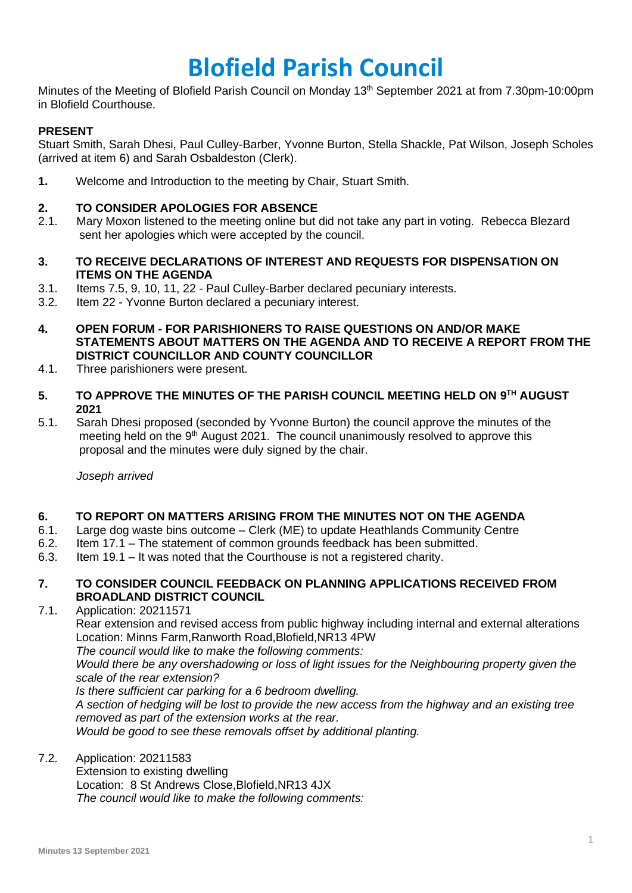# **Blofield Parish Council**

Minutes of the Meeting of Blofield Parish Council on Monday 13<sup>th</sup> September 2021 at from 7.30pm-10:00pm in Blofield Courthouse.

## **PRESENT**

Stuart Smith, Sarah Dhesi, Paul Culley-Barber, Yvonne Burton, Stella Shackle, Pat Wilson, Joseph Scholes (arrived at item 6) and Sarah Osbaldeston (Clerk).

**1.** Welcome and Introduction to the meeting by Chair, Stuart Smith.

## **2. TO CONSIDER APOLOGIES FOR ABSENCE**

- 2.1. Mary Moxon listened to the meeting online but did not take any part in voting. Rebecca Blezard sent her apologies which were accepted by the council.
- **3. TO RECEIVE DECLARATIONS OF INTEREST AND REQUESTS FOR DISPENSATION ON ITEMS ON THE AGENDA**
- 3.1. Items 7.5, 9, 10, 11, 22 Paul Culley-Barber declared pecuniary interests.
- 3.2. Item 22 Yvonne Burton declared a pecuniary interest.
- **4. OPEN FORUM - FOR PARISHIONERS TO RAISE QUESTIONS ON AND/OR MAKE STATEMENTS ABOUT MATTERS ON THE AGENDA AND TO RECEIVE A REPORT FROM THE DISTRICT COUNCILLOR AND COUNTY COUNCILLOR**
- 4.1. Three parishioners were present.
- **5. TO APPROVE THE MINUTES OF THE PARISH COUNCIL MEETING HELD ON 9 TH AUGUST 2021**
- 5.1. Sarah Dhesi proposed (seconded by Yvonne Burton) the council approve the minutes of the meeting held on the 9<sup>th</sup> August 2021. The council unanimously resolved to approve this proposal and the minutes were duly signed by the chair.

*Joseph arrived*

## **6. TO REPORT ON MATTERS ARISING FROM THE MINUTES NOT ON THE AGENDA**

- 6.1. Large dog waste bins outcome Clerk (ME) to update Heathlands Community Centre
- 6.2. Item 17.1 The statement of common grounds feedback has been submitted.
- 6.3. Item 19.1 It was noted that the Courthouse is not a registered charity.

#### **7. TO CONSIDER COUNCIL FEEDBACK ON PLANNING APPLICATIONS RECEIVED FROM BROADLAND DISTRICT COUNCIL**

7.1. Application: 20211571

Rear extension and revised access from public highway including internal and external alterations Location: Minns Farm,Ranworth Road,Blofield,NR13 4PW

*The council would like to make the following comments:*

*Would there be any overshadowing or loss of light issues for the Neighbouring property given the scale of the rear extension?* 

*Is there sufficient car parking for a 6 bedroom dwelling.*

*A section of hedging will be lost to provide the new access from the highway and an existing tree removed as part of the extension works at the rear.* 

*Would be good to see these removals offset by additional planting.* 

### 7.2. Application: 20211583

Extension to existing dwelling Location: 8 St Andrews Close,Blofield,NR13 4JX *The council would like to make the following comments:*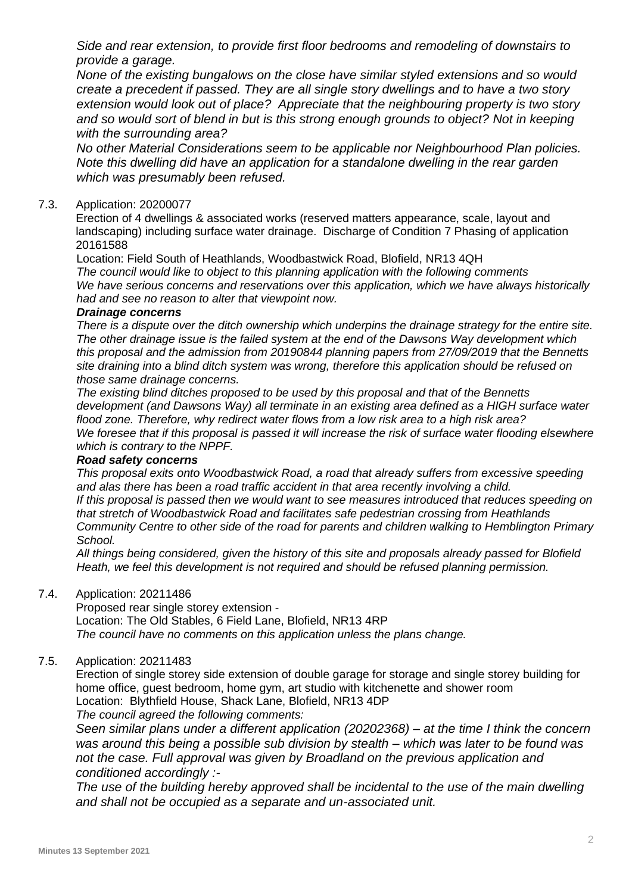*Side and rear extension, to provide first floor bedrooms and remodeling of downstairs to provide a garage.*

*None of the existing bungalows on the close have similar styled extensions and so would create a precedent if passed. They are all single story dwellings and to have a two story extension would look out of place? Appreciate that the neighbouring property is two story and so would sort of blend in but is this strong enough grounds to object? Not in keeping with the surrounding area?* 

*No other Material Considerations seem to be applicable nor Neighbourhood Plan policies. Note this dwelling did have an application for a standalone dwelling in the rear garden which was presumably been refused.* 

#### 7.3. Application: 20200077

Erection of 4 dwellings & associated works (reserved matters appearance, scale, layout and landscaping) including surface water drainage. Discharge of Condition 7 Phasing of application 20161588

Location: Field South of Heathlands, Woodbastwick Road, Blofield, NR13 4QH *The council would like to object to this planning application with the following comments We have serious concerns and reservations over this application, which we have always historically had and see no reason to alter that viewpoint now.*

#### *Drainage concerns*

*There is a dispute over the ditch ownership which underpins the drainage strategy for the entire site. The other drainage issue is the failed system at the end of the Dawsons Way development which this proposal and the admission from 20190844 planning papers from 27/09/2019 that the Bennetts site draining into a blind ditch system was wrong, therefore this application should be refused on those same drainage concerns.*

*The existing blind ditches proposed to be used by this proposal and that of the Bennetts development (and Dawsons Way) all terminate in an existing area defined as a HIGH surface water flood zone. Therefore, why redirect water flows from a low risk area to a high risk area? We foresee that if this proposal is passed it will increase the risk of surface water flooding elsewhere which is contrary to the NPPF.*

## *Road safety concerns*

*This proposal exits onto Woodbastwick Road, a road that already suffers from excessive speeding and alas there has been a road traffic accident in that area recently involving a child.*

*If this proposal is passed then we would want to see measures introduced that reduces speeding on that stretch of Woodbastwick Road and facilitates safe pedestrian crossing from Heathlands Community Centre to other side of the road for parents and children walking to Hemblington Primary School.* 

*All things being considered, given the history of this site and proposals already passed for Blofield Heath, we feel this development is not required and should be refused planning permission.*

#### 7.4. Application: 20211486

Proposed rear single storey extension - Location: The Old Stables, 6 Field Lane, Blofield, NR13 4RP *The council have no comments on this application unless the plans change.*

## 7.5. Application: 20211483

Erection of single storey side extension of double garage for storage and single storey building for home office, guest bedroom, home gym, art studio with kitchenette and shower room Location: Blythfield House, Shack Lane, Blofield, NR13 4DP

*The council agreed the following comments:*

*Seen similar plans under a different application (20202368) – at the time I think the concern was around this being a possible sub division by stealth – which was later to be found was not the case. Full approval was given by Broadland on the previous application and conditioned accordingly :-*

*The use of the building hereby approved shall be incidental to the use of the main dwelling and shall not be occupied as a separate and un-associated unit.*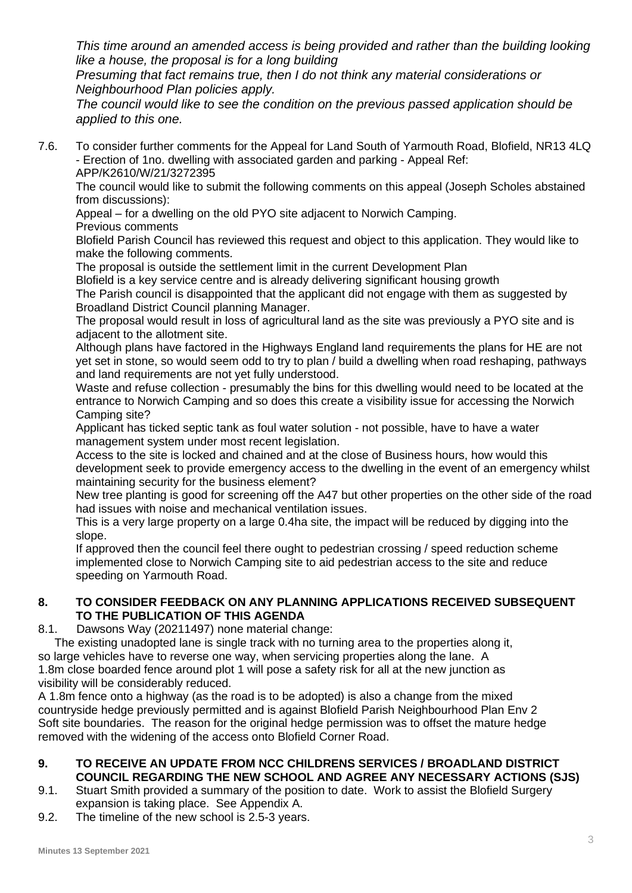*This time around an amended access is being provided and rather than the building looking like a house, the proposal is for a long building* 

*Presuming that fact remains true, then I do not think any material considerations or Neighbourhood Plan policies apply.* 

*The council would like to see the condition on the previous passed application should be applied to this one.* 

7.6. To consider further comments for the Appeal for Land South of Yarmouth Road, Blofield, NR13 4LQ - Erection of 1no. dwelling with associated garden and parking - Appeal Ref: APP/K2610/W/21/3272395

The council would like to submit the following comments on this appeal (Joseph Scholes abstained from discussions):

Appeal – for a dwelling on the old PYO site adjacent to Norwich Camping.

Previous comments

Blofield Parish Council has reviewed this request and object to this application. They would like to make the following comments.

The proposal is outside the settlement limit in the current Development Plan

Blofield is a key service centre and is already delivering significant housing growth

The Parish council is disappointed that the applicant did not engage with them as suggested by Broadland District Council planning Manager.

The proposal would result in loss of agricultural land as the site was previously a PYO site and is adjacent to the allotment site.

Although plans have factored in the Highways England land requirements the plans for HE are not yet set in stone, so would seem odd to try to plan / build a dwelling when road reshaping, pathways and land requirements are not yet fully understood.

Waste and refuse collection - presumably the bins for this dwelling would need to be located at the entrance to Norwich Camping and so does this create a visibility issue for accessing the Norwich Camping site?

Applicant has ticked septic tank as foul water solution - not possible, have to have a water management system under most recent legislation.

Access to the site is locked and chained and at the close of Business hours, how would this development seek to provide emergency access to the dwelling in the event of an emergency whilst maintaining security for the business element?

New tree planting is good for screening off the A47 but other properties on the other side of the road had issues with noise and mechanical ventilation issues.

This is a very large property on a large 0.4ha site, the impact will be reduced by digging into the slope.

If approved then the council feel there ought to pedestrian crossing / speed reduction scheme implemented close to Norwich Camping site to aid pedestrian access to the site and reduce speeding on Yarmouth Road.

## **8. TO CONSIDER FEEDBACK ON ANY PLANNING APPLICATIONS RECEIVED SUBSEQUENT TO THE PUBLICATION OF THIS AGENDA**

8.1. Dawsons Way (20211497) none material change:

The existing unadopted lane is single track with no turning area to the properties along it, so large vehicles have to reverse one way, when servicing properties along the lane. A 1.8m close boarded fence around plot 1 will pose a safety risk for all at the new junction as visibility will be considerably reduced.

A 1.8m fence onto a highway (as the road is to be adopted) is also a change from the mixed countryside hedge previously permitted and is against Blofield Parish Neighbourhood Plan Env 2 Soft site boundaries. The reason for the original hedge permission was to offset the mature hedge removed with the widening of the access onto Blofield Corner Road.

## **9. TO RECEIVE AN UPDATE FROM NCC CHILDRENS SERVICES / BROADLAND DISTRICT COUNCIL REGARDING THE NEW SCHOOL AND AGREE ANY NECESSARY ACTIONS (SJS)**

- 9.1. Stuart Smith provided a summary of the position to date. Work to assist the Blofield Surgery expansion is taking place. See Appendix A.
- 9.2. The timeline of the new school is 2.5-3 years.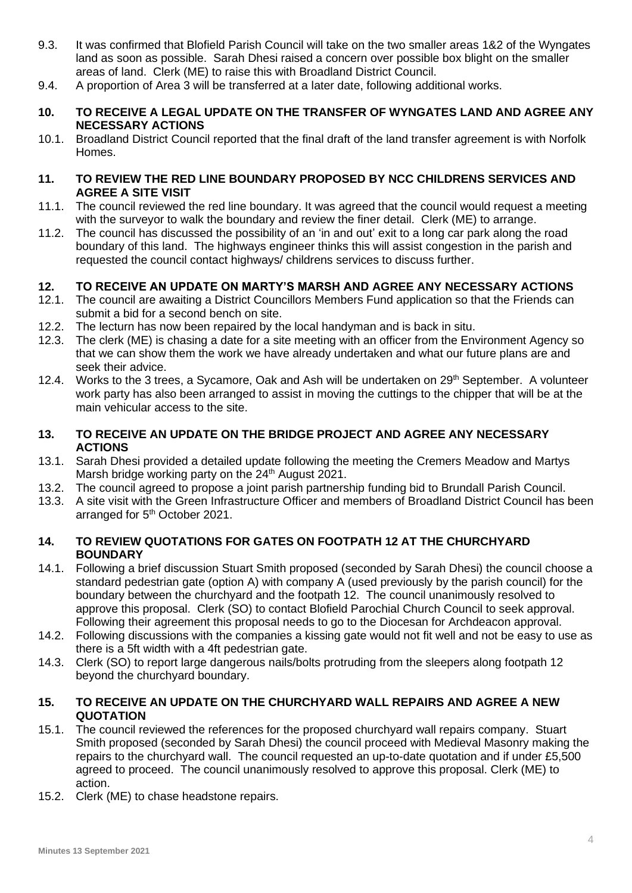- 9.3. It was confirmed that Blofield Parish Council will take on the two smaller areas 1&2 of the Wyngates land as soon as possible. Sarah Dhesi raised a concern over possible box blight on the smaller areas of land. Clerk (ME) to raise this with Broadland District Council.
- 9.4. A proportion of Area 3 will be transferred at a later date, following additional works.

#### **10. TO RECEIVE A LEGAL UPDATE ON THE TRANSFER OF WYNGATES LAND AND AGREE ANY NECESSARY ACTIONS**

10.1. Broadland District Council reported that the final draft of the land transfer agreement is with Norfolk Homes.

### **11. TO REVIEW THE RED LINE BOUNDARY PROPOSED BY NCC CHILDRENS SERVICES AND AGREE A SITE VISIT**

- 11.1. The council reviewed the red line boundary. It was agreed that the council would request a meeting with the surveyor to walk the boundary and review the finer detail. Clerk (ME) to arrange.
- 11.2. The council has discussed the possibility of an 'in and out' exit to a long car park along the road boundary of this land. The highways engineer thinks this will assist congestion in the parish and requested the council contact highways/ childrens services to discuss further.

## **12. TO RECEIVE AN UPDATE ON MARTY'S MARSH AND AGREE ANY NECESSARY ACTIONS**

- 12.1. The council are awaiting a District Councillors Members Fund application so that the Friends can submit a bid for a second bench on site.
- 12.2. The lecturn has now been repaired by the local handyman and is back in situ.
- 12.3. The clerk (ME) is chasing a date for a site meeting with an officer from the Environment Agency so that we can show them the work we have already undertaken and what our future plans are and seek their advice.
- 12.4. Works to the 3 trees, a Sycamore, Oak and Ash will be undertaken on 29<sup>th</sup> September. A volunteer work party has also been arranged to assist in moving the cuttings to the chipper that will be at the main vehicular access to the site.

## **13. TO RECEIVE AN UPDATE ON THE BRIDGE PROJECT AND AGREE ANY NECESSARY ACTIONS**

- 13.1. Sarah Dhesi provided a detailed update following the meeting the Cremers Meadow and Martys Marsh bridge working party on the 24<sup>th</sup> August 2021.
- 13.2. The council agreed to propose a joint parish partnership funding bid to Brundall Parish Council.
- 13.3. A site visit with the Green Infrastructure Officer and members of Broadland District Council has been arranged for 5<sup>th</sup> October 2021.

## **14. TO REVIEW QUOTATIONS FOR GATES ON FOOTPATH 12 AT THE CHURCHYARD BOUNDARY**

- 14.1. Following a brief discussion Stuart Smith proposed (seconded by Sarah Dhesi) the council choose a standard pedestrian gate (option A) with company A (used previously by the parish council) for the boundary between the churchyard and the footpath 12. The council unanimously resolved to approve this proposal. Clerk (SO) to contact Blofield Parochial Church Council to seek approval. Following their agreement this proposal needs to go to the Diocesan for Archdeacon approval.
- 14.2. Following discussions with the companies a kissing gate would not fit well and not be easy to use as there is a 5ft width with a 4ft pedestrian gate.
- 14.3. Clerk (SO) to report large dangerous nails/bolts protruding from the sleepers along footpath 12 beyond the churchyard boundary.

## **15. TO RECEIVE AN UPDATE ON THE CHURCHYARD WALL REPAIRS AND AGREE A NEW QUOTATION**

- 15.1. The council reviewed the references for the proposed churchyard wall repairs company. Stuart Smith proposed (seconded by Sarah Dhesi) the council proceed with Medieval Masonry making the repairs to the churchyard wall. The council requested an up-to-date quotation and if under £5,500 agreed to proceed. The council unanimously resolved to approve this proposal. Clerk (ME) to action.
- 15.2. Clerk (ME) to chase headstone repairs.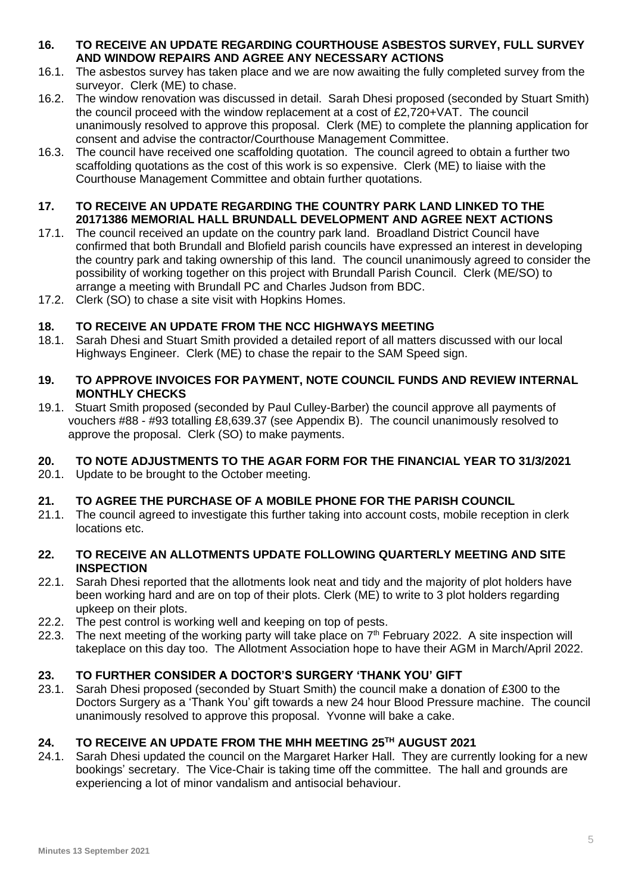## **16. TO RECEIVE AN UPDATE REGARDING COURTHOUSE ASBESTOS SURVEY, FULL SURVEY AND WINDOW REPAIRS AND AGREE ANY NECESSARY ACTIONS**

- 16.1. The asbestos survey has taken place and we are now awaiting the fully completed survey from the surveyor. Clerk (ME) to chase.
- 16.2. The window renovation was discussed in detail. Sarah Dhesi proposed (seconded by Stuart Smith) the council proceed with the window replacement at a cost of £2,720+VAT. The council unanimously resolved to approve this proposal. Clerk (ME) to complete the planning application for consent and advise the contractor/Courthouse Management Committee.
- 16.3. The council have received one scaffolding quotation. The council agreed to obtain a further two scaffolding quotations as the cost of this work is so expensive. Clerk (ME) to liaise with the Courthouse Management Committee and obtain further quotations.

## **17. TO RECEIVE AN UPDATE REGARDING THE COUNTRY PARK LAND LINKED TO THE 20171386 MEMORIAL HALL BRUNDALL DEVELOPMENT AND AGREE NEXT ACTIONS**

- 17.1. The council received an update on the country park land. Broadland District Council have confirmed that both Brundall and Blofield parish councils have expressed an interest in developing the country park and taking ownership of this land. The council unanimously agreed to consider the possibility of working together on this project with Brundall Parish Council. Clerk (ME/SO) to arrange a meeting with Brundall PC and Charles Judson from BDC.
- 17.2. Clerk (SO) to chase a site visit with Hopkins Homes.

## **18. TO RECEIVE AN UPDATE FROM THE NCC HIGHWAYS MEETING**

18.1. Sarah Dhesi and Stuart Smith provided a detailed report of all matters discussed with our local Highways Engineer. Clerk (ME) to chase the repair to the SAM Speed sign.

## **19. TO APPROVE INVOICES FOR PAYMENT, NOTE COUNCIL FUNDS AND REVIEW INTERNAL MONTHLY CHECKS**

19.1. Stuart Smith proposed (seconded by Paul Culley-Barber) the council approve all payments of vouchers #88 - #93 totalling £8,639.37 (see Appendix B). The council unanimously resolved to approve the proposal. Clerk (SO) to make payments.

# **20. TO NOTE ADJUSTMENTS TO THE AGAR FORM FOR THE FINANCIAL YEAR TO 31/3/2021**

20.1. Update to be brought to the October meeting.

## **21. TO AGREE THE PURCHASE OF A MOBILE PHONE FOR THE PARISH COUNCIL**

21.1. The council agreed to investigate this further taking into account costs, mobile reception in clerk locations etc.

## **22. TO RECEIVE AN ALLOTMENTS UPDATE FOLLOWING QUARTERLY MEETING AND SITE INSPECTION**

- 22.1. Sarah Dhesi reported that the allotments look neat and tidy and the majority of plot holders have been working hard and are on top of their plots. Clerk (ME) to write to 3 plot holders regarding upkeep on their plots.
- 22.2. The pest control is working well and keeping on top of pests.
- 22.3. The next meeting of the working party will take place on  $7<sup>th</sup>$  February 2022. A site inspection will takeplace on this day too. The Allotment Association hope to have their AGM in March/April 2022.

# **23. TO FURTHER CONSIDER A DOCTOR'S SURGERY 'THANK YOU' GIFT**

23.1. Sarah Dhesi proposed (seconded by Stuart Smith) the council make a donation of £300 to the Doctors Surgery as a 'Thank You' gift towards a new 24 hour Blood Pressure machine. The council unanimously resolved to approve this proposal. Yvonne will bake a cake.

## **24. TO RECEIVE AN UPDATE FROM THE MHH MEETING 25TH AUGUST 2021**

24.1. Sarah Dhesi updated the council on the Margaret Harker Hall. They are currently looking for a new bookings' secretary. The Vice-Chair is taking time off the committee. The hall and grounds are experiencing a lot of minor vandalism and antisocial behaviour.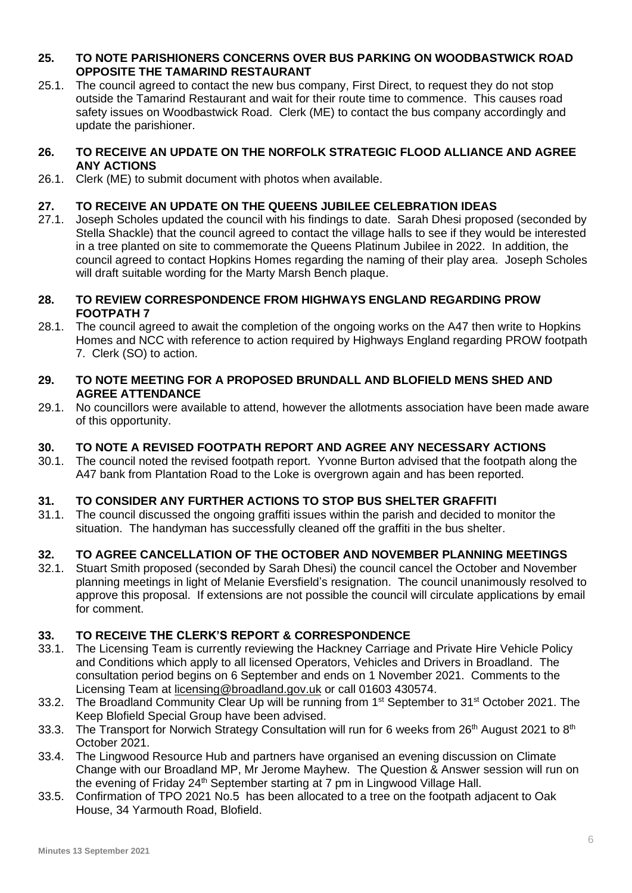## **25. TO NOTE PARISHIONERS CONCERNS OVER BUS PARKING ON WOODBASTWICK ROAD OPPOSITE THE TAMARIND RESTAURANT**

25.1. The council agreed to contact the new bus company, First Direct, to request they do not stop outside the Tamarind Restaurant and wait for their route time to commence. This causes road safety issues on Woodbastwick Road. Clerk (ME) to contact the bus company accordingly and update the parishioner.

## **26. TO RECEIVE AN UPDATE ON THE NORFOLK STRATEGIC FLOOD ALLIANCE AND AGREE ANY ACTIONS**

26.1. Clerk (ME) to submit document with photos when available.

## **27. TO RECEIVE AN UPDATE ON THE QUEENS JUBILEE CELEBRATION IDEAS**

27.1. Joseph Scholes updated the council with his findings to date. Sarah Dhesi proposed (seconded by Stella Shackle) that the council agreed to contact the village halls to see if they would be interested in a tree planted on site to commemorate the Queens Platinum Jubilee in 2022. In addition, the council agreed to contact Hopkins Homes regarding the naming of their play area. Joseph Scholes will draft suitable wording for the Marty Marsh Bench plaque.

#### **28. TO REVIEW CORRESPONDENCE FROM HIGHWAYS ENGLAND REGARDING PROW FOOTPATH 7**

28.1. The council agreed to await the completion of the ongoing works on the A47 then write to Hopkins Homes and NCC with reference to action required by Highways England regarding PROW footpath 7. Clerk (SO) to action.

#### **29. TO NOTE MEETING FOR A PROPOSED BRUNDALL AND BLOFIELD MENS SHED AND AGREE ATTENDANCE**

29.1. No councillors were available to attend, however the allotments association have been made aware of this opportunity.

## **30. TO NOTE A REVISED FOOTPATH REPORT AND AGREE ANY NECESSARY ACTIONS**

30.1. The council noted the revised footpath report. Yvonne Burton advised that the footpath along the A47 bank from Plantation Road to the Loke is overgrown again and has been reported.

## **31. TO CONSIDER ANY FURTHER ACTIONS TO STOP BUS SHELTER GRAFFITI**

31.1. The council discussed the ongoing graffiti issues within the parish and decided to monitor the situation. The handyman has successfully cleaned off the graffiti in the bus shelter.

## **32. TO AGREE CANCELLATION OF THE OCTOBER AND NOVEMBER PLANNING MEETINGS**

32.1. Stuart Smith proposed (seconded by Sarah Dhesi) the council cancel the October and November planning meetings in light of Melanie Eversfield's resignation. The council unanimously resolved to approve this proposal. If extensions are not possible the council will circulate applications by email for comment.

## **33. TO RECEIVE THE CLERK'S REPORT & CORRESPONDENCE**

- 33.1. The Licensing Team is currently reviewing the Hackney Carriage and Private Hire Vehicle Policy and Conditions which apply to all licensed Operators, Vehicles and Drivers in Broadland. The consultation period begins on 6 September and ends on 1 November 2021. Comments to the Licensing Team at [licensing@broadland.gov.uk](mailto:licensing@broadland.gov.uk) or call 01603 430574.
- 33.2. The Broadland Community Clear Up will be running from 1<sup>st</sup> September to 31<sup>st</sup> October 2021. The Keep Blofield Special Group have been advised.
- 33.3. The Transport for Norwich Strategy Consultation will run for 6 weeks from 26<sup>th</sup> August 2021 to 8<sup>th</sup> October 2021.
- 33.4. The Lingwood Resource Hub and partners have organised an evening discussion on Climate Change with our Broadland MP, Mr Jerome Mayhew. The Question & Answer session will run on the evening of Friday 24<sup>th</sup> September starting at 7 pm in Lingwood Village Hall.
- 33.5. Confirmation of TPO 2021 No.5 has been allocated to a tree on the footpath adjacent to Oak House, 34 Yarmouth Road, Blofield.